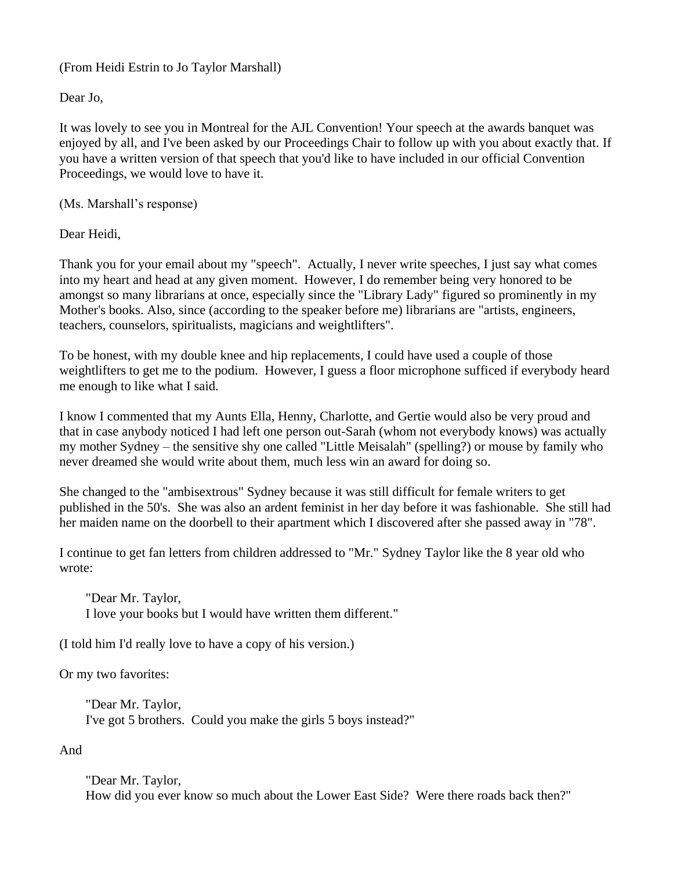## (From Heidi Estrin to Jo Taylor Marshall)

Dear Jo,

It was lovely to see you in Montreal for the AJL Convention! Your speech at the awards banquet was enjoyed by all, and I've been asked by our Proceedings Chair to follow up with you about exactly that. If you have a written version of that speech that you'd like to have included in our official Convention Proceedings, we would love to have it.

(Ms. Marshall's response)

Dear Heidi,

Thank you for your email about my "speech". Actually, I never write speeches, I just say what comes into my heart and head at any given moment. However, I do remember being very honored to be amongst so many librarians at once, especially since the "Library Lady" figured so prominently in my Mother's books. Also, since (according to the speaker before me) librarians are "artists, engineers, teachers, counselors, spiritualists, magicians and weightlifters".

To be honest, with my double knee and hip replacements, I could have used a couple of those weightlifters to get me to the podium. However, I guess a floor microphone sufficed if everybody heard me enough to like what I said.

I know I commented that my Aunts Ella, Henny, Charlotte, and Gertie would also be very proud and that in case anybody noticed I had left one person out-Sarah (whom not everybody knows) was actually my mother Sydney – the sensitive shy one called "Little Meisalah" (spelling?) or mouse by family who never dreamed she would write about them, much less win an award for doing so.

She changed to the "ambisextrous" Sydney because it was still difficult for female writers to get published in the 50's. She was also an ardent feminist in her day before it was fashionable. She still had her maiden name on the doorbell to their apartment which I discovered after she passed away in "78".

I continue to get fan letters from children addressed to "Mr." Sydney Taylor like the 8 year old who wrote:

 "Dear Mr. Taylor, I love your books but I would have written them different."

(I told him I'd really love to have a copy of his version.)

Or my two favorites:

 "Dear Mr. Taylor, I've got 5 brothers. Could you make the girls 5 boys instead?"

And

 "Dear Mr. Taylor, How did you ever know so much about the Lower East Side? Were there roads back then?"